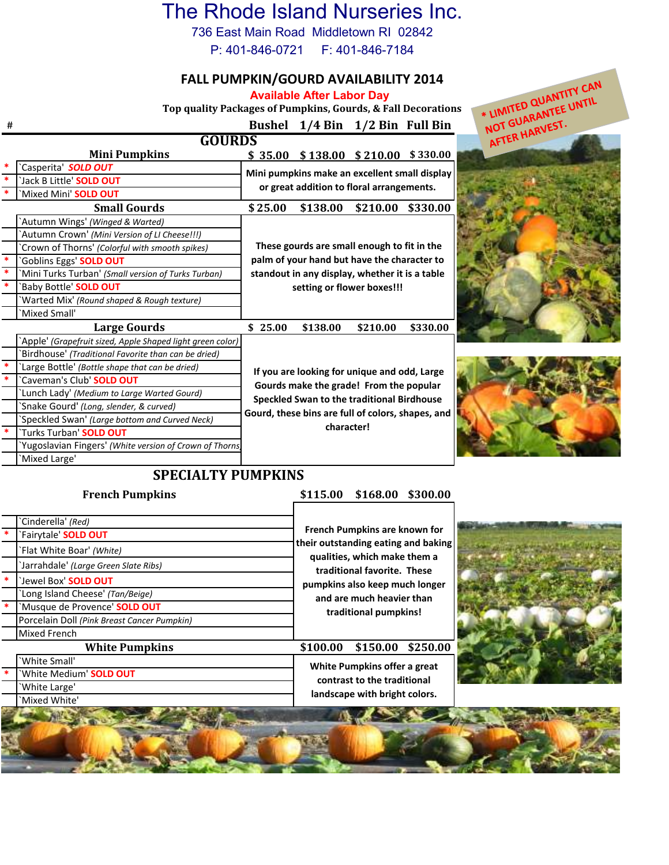## The Rhode Island Nurseries Inc.

736 East Main Road Middletown RI 02842

P: 401-846-0721 F: 401-846-7184

### **FALL PUMPKIN/GOURD AVAILABILITY 2014**

**Available After Labor Day**

**Top quality Packages of Pumpkins, Gourds, & Fall Decorations**

### \* LIMITED QUANTITY CAN **NOT GUARANTED UNTIL**<br>NOT GUARANTEE UNTIL NOT GUARANT-**# Bushel 1/4 Bin 1/2 Bin Full Bin GOURDS Mini Pumpkins \$ 35.00 \$ 138.00 \$ 210.00 \$ 330.00 \*** `Casperita' *SOLD OUT*  **Mini pumpkins make an excellent small display \*** `Jack B Little' **SOLD OUT or great addition to floral arrangements. \*** `Mixed Mini' **SOLD OUT Small Gourds \$ \$138.00 \$210.00 \$330.00 25.00** `Autumn Wings' *(Winged & Warted)* `Autumn Crown' *(Mini Version of LI Cheese!!!)*  **These gourds are small enough to fit in the**  `Crown of Thorns' *(Colorful with smooth spikes)* **\*** `Goblins Eggs' **SOLD OUT palm of your hand but have the character to \*** `Mini Turks Turban' *(Small version of Turks Turban)* **standout in any display, whether it is a table \*** `Baby Bottle' **SOLD OUT setting or flower boxes!!!**  `Warted Mix' *(Round shaped & Rough texture)* `Mixed Small' **Large Gourds 8**  $\frac{138.00}{25.00}$  **\$138.00 \$210.00 \$330.00** `Apple' *(Grapefruit sized, Apple Shaped light green color)* `Birdhouse' *(Traditional Favorite than can be dried)* **\*** `Large Bottle' *(Bottle shape that can be dried)*  **If you are looking for unique and odd, Large \*** `Caveman's Club' **SOLD OUT Gourds make the grade! From the popular**  `Lunch Lady' *(Medium to Large Warted Gourd)* **Speckled Swan to the traditional Birdhouse**  `Snake Gourd' *(Long, slender, & curved)* **Gourd, these bins are full of colors, shapes, and**  `Speckled Swan' *(Large bottom and Curved Neck)* **character! \*** `Turks Turban' **SOLD OUT** `Yugoslavian Fingers' *(White version of Crown of Thorns)* `Mixed Large' **SPECIALTY PUMPKINS French Pumpkins \$115.00 \$168.00 \$300.00**

| Cinderella' (Red)<br>`Fairytale' <b>SOLD OUT</b><br>`Flat White Boar' (White)<br>'Jarrahdale' (Large Green Slate Ribs)<br>`Jewel Box' <b>SOLD OUT</b> | French Pumpkins are known for<br>their outstanding eating and baking<br>qualities, which make them a<br>traditional favorite. These<br>pumpkins also keep much longer<br>and are much heavier than<br>traditional pumpkins! |  |
|-------------------------------------------------------------------------------------------------------------------------------------------------------|-----------------------------------------------------------------------------------------------------------------------------------------------------------------------------------------------------------------------------|--|
| Long Island Cheese' (Tan/Beige)<br>'Musque de Provence' SOLD OUT<br>Porcelain Doll (Pink Breast Cancer Pumpkin)<br><b>Mixed French</b>                |                                                                                                                                                                                                                             |  |
| <b>White Pumpkins</b>                                                                                                                                 | \$150.00 \$250.00<br>\$100.00                                                                                                                                                                                               |  |
| 'White Small'                                                                                                                                         | White Pumpkins offer a great<br>contrast to the traditional                                                                                                                                                                 |  |
| 'White Medium' SOLD OUT                                                                                                                               |                                                                                                                                                                                                                             |  |
| 'White Large'                                                                                                                                         | landscape with bright colors.                                                                                                                                                                                               |  |
| `Mixed White'                                                                                                                                         |                                                                                                                                                                                                                             |  |
|                                                                                                                                                       |                                                                                                                                                                                                                             |  |